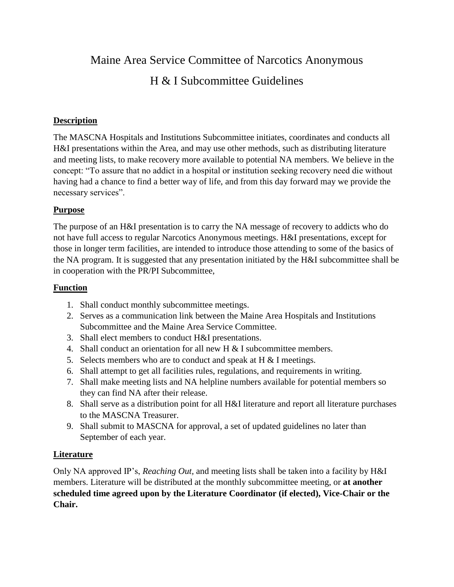Maine Area Service Committee of Narcotics Anonymous H & I Subcommittee Guidelines

# **Description**

The MASCNA Hospitals and Institutions Subcommittee initiates, coordinates and conducts all H&I presentations within the Area, and may use other methods, such as distributing literature and meeting lists, to make recovery more available to potential NA members. We believe in the concept: "To assure that no addict in a hospital or institution seeking recovery need die without having had a chance to find a better way of life, and from this day forward may we provide the necessary services".

# **Purpose**

The purpose of an H&I presentation is to carry the NA message of recovery to addicts who do not have full access to regular Narcotics Anonymous meetings. H&I presentations, except for those in longer term facilities, are intended to introduce those attending to some of the basics of the NA program. It is suggested that any presentation initiated by the H&I subcommittee shall be in cooperation with the PR/PI Subcommittee,

#### **Function**

- 1. Shall conduct monthly subcommittee meetings.
- 2. Serves as a communication link between the Maine Area Hospitals and Institutions Subcommittee and the Maine Area Service Committee.
- 3. Shall elect members to conduct H&I presentations.
- 4. Shall conduct an orientation for all new H & I subcommittee members.
- 5. Selects members who are to conduct and speak at  $H \& I$  meetings.
- 6. Shall attempt to get all facilities rules, regulations, and requirements in writing.
- 7. Shall make meeting lists and NA helpline numbers available for potential members so they can find NA after their release.
- 8. Shall serve as a distribution point for all H&I literature and report all literature purchases to the MASCNA Treasurer.
- 9. Shall submit to MASCNA for approval, a set of updated guidelines no later than September of each year.

#### **Literature**

Only NA approved IP's, *Reaching Out,* and meeting lists shall be taken into a facility by H&I members. Literature will be distributed at the monthly subcommittee meeting, or **at another scheduled time agreed upon by the Literature Coordinator (if elected), Vice-Chair or the Chair.**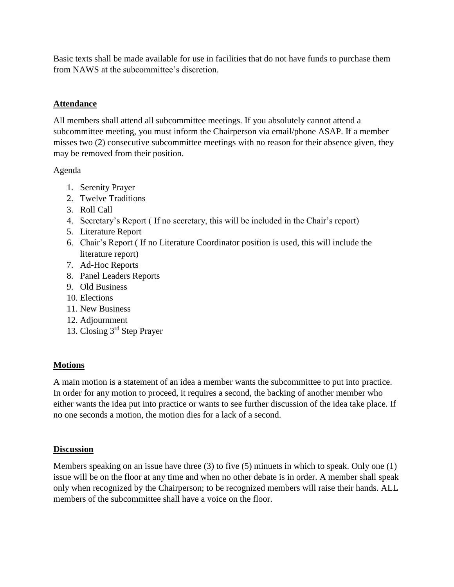Basic texts shall be made available for use in facilities that do not have funds to purchase them from NAWS at the subcommittee's discretion.

#### **Attendance**

All members shall attend all subcommittee meetings. If you absolutely cannot attend a subcommittee meeting, you must inform the Chairperson via email/phone ASAP. If a member misses two (2) consecutive subcommittee meetings with no reason for their absence given, they may be removed from their position.

# Agenda

- 1. Serenity Prayer
- 2. Twelve Traditions
- 3. Roll Call
- 4. Secretary's Report ( If no secretary, this will be included in the Chair's report)
- 5. Literature Report
- 6. Chair's Report ( If no Literature Coordinator position is used, this will include the literature report)
- 7. Ad-Hoc Reports
- 8. Panel Leaders Reports
- 9. Old Business
- 10. Elections
- 11. New Business
- 12. Adjournment
- 13. Closing 3rd Step Prayer

#### **Motions**

A main motion is a statement of an idea a member wants the subcommittee to put into practice. In order for any motion to proceed, it requires a second, the backing of another member who either wants the idea put into practice or wants to see further discussion of the idea take place. If no one seconds a motion, the motion dies for a lack of a second.

#### **Discussion**

Members speaking on an issue have three (3) to five (5) minuets in which to speak. Only one (1) issue will be on the floor at any time and when no other debate is in order. A member shall speak only when recognized by the Chairperson; to be recognized members will raise their hands. ALL members of the subcommittee shall have a voice on the floor.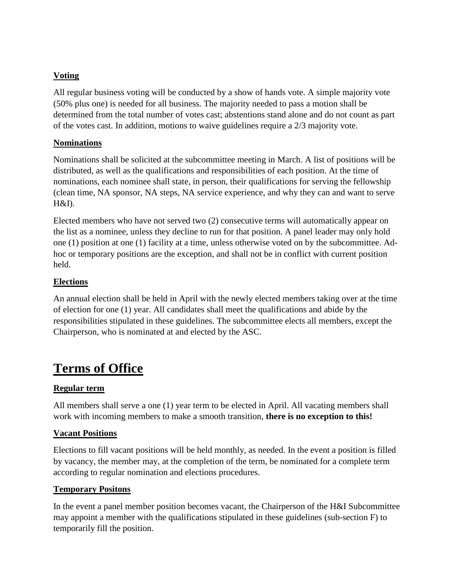# **Voting**

All regular business voting will be conducted by a show of hands vote. A simple majority vote (50% plus one) is needed for all business. The majority needed to pass a motion shall be determined from the total number of votes cast; abstentions stand alone and do not count as part of the votes cast. In addition, motions to waive guidelines require a 2/3 majority vote.

# **Nominations**

Nominations shall be solicited at the subcommittee meeting in March. A list of positions will be distributed, as well as the qualifications and responsibilities of each position. At the time of nominations, each nominee shall state, in person, their qualifications for serving the fellowship (clean time, NA sponsor, NA steps, NA service experience, and why they can and want to serve H&I).

Elected members who have not served two (2) consecutive terms will automatically appear on the list as a nominee, unless they decline to run for that position. A panel leader may only hold one (1) position at one (1) facility at a time, unless otherwise voted on by the subcommittee. Adhoc or temporary positions are the exception, and shall not be in conflict with current position held.

# **Elections**

An annual election shall be held in April with the newly elected members taking over at the time of election for one (1) year. All candidates shall meet the qualifications and abide by the responsibilities stipulated in these guidelines. The subcommittee elects all members, except the Chairperson, who is nominated at and elected by the ASC.

# **Terms of Office**

# **Regular term**

All members shall serve a one (1) year term to be elected in April. All vacating members shall work with incoming members to make a smooth transition, **there is no exception to this!**

#### **Vacant Positions**

Elections to fill vacant positions will be held monthly, as needed. In the event a position is filled by vacancy, the member may, at the completion of the term, be nominated for a complete term according to regular nomination and elections procedures.

#### **Temporary Positons**

In the event a panel member position becomes vacant, the Chairperson of the H&I Subcommittee may appoint a member with the qualifications stipulated in these guidelines (sub-section F) to temporarily fill the position.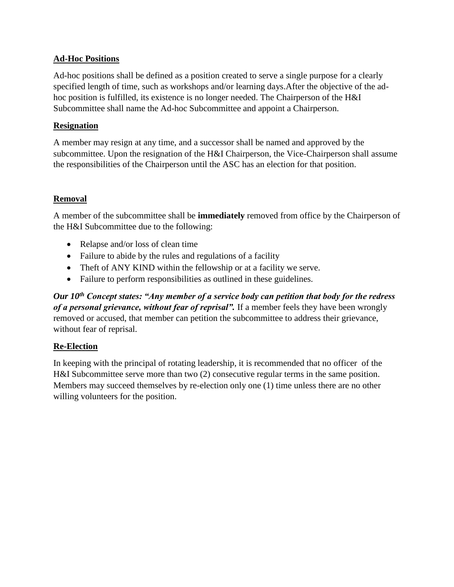# **Ad-Hoc Positions**

Ad-hoc positions shall be defined as a position created to serve a single purpose for a clearly specified length of time, such as workshops and/or learning days.After the objective of the adhoc position is fulfilled, its existence is no longer needed. The Chairperson of the H&I Subcommittee shall name the Ad-hoc Subcommittee and appoint a Chairperson.

#### **Resignation**

A member may resign at any time, and a successor shall be named and approved by the subcommittee. Upon the resignation of the H&I Chairperson, the Vice-Chairperson shall assume the responsibilities of the Chairperson until the ASC has an election for that position.

# **Removal**

A member of the subcommittee shall be **immediately** removed from office by the Chairperson of the H&I Subcommittee due to the following:

- Relapse and/or loss of clean time
- Failure to abide by the rules and regulations of a facility
- Theft of ANY KIND within the fellowship or at a facility we serve.
- Failure to perform responsibilities as outlined in these guidelines.

*Our 10th Concept states: "Any member of a service body can petition that body for the redress of a personal grievance, without fear of reprisal".* If a member feels they have been wrongly removed or accused, that member can petition the subcommittee to address their grievance, without fear of reprisal.

# **Re-Election**

In keeping with the principal of rotating leadership, it is recommended that no officer of the H&I Subcommittee serve more than two (2) consecutive regular terms in the same position. Members may succeed themselves by re-election only one (1) time unless there are no other willing volunteers for the position.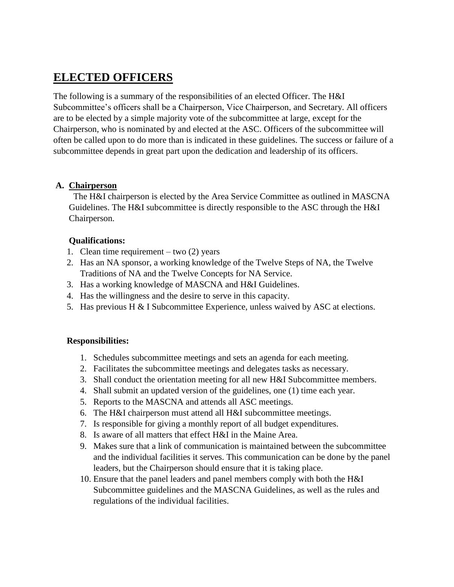# **ELECTED OFFICERS**

The following is a summary of the responsibilities of an elected Officer. The H&I Subcommittee's officers shall be a Chairperson, Vice Chairperson, and Secretary. All officers are to be elected by a simple majority vote of the subcommittee at large, except for the Chairperson, who is nominated by and elected at the ASC. Officers of the subcommittee will often be called upon to do more than is indicated in these guidelines. The success or failure of a subcommittee depends in great part upon the dedication and leadership of its officers.

#### **A. Chairperson**

 The H&I chairperson is elected by the Area Service Committee as outlined in MASCNA Guidelines. The H&I subcommittee is directly responsible to the ASC through the H&I Chairperson.

#### **Qualifications:**

- 1. Clean time requirement two (2) years
- 2. Has an NA sponsor, a working knowledge of the Twelve Steps of NA, the Twelve Traditions of NA and the Twelve Concepts for NA Service.
- 3. Has a working knowledge of MASCNA and H&I Guidelines.
- 4. Has the willingness and the desire to serve in this capacity.
- 5. Has previous H & I Subcommittee Experience, unless waived by ASC at elections.

#### **Responsibilities:**

- 1. Schedules subcommittee meetings and sets an agenda for each meeting.
- 2. Facilitates the subcommittee meetings and delegates tasks as necessary.
- 3. Shall conduct the orientation meeting for all new H&I Subcommittee members.
- 4. Shall submit an updated version of the guidelines, one (1) time each year.
- 5. Reports to the MASCNA and attends all ASC meetings.
- 6. The H&I chairperson must attend all H&I subcommittee meetings.
- 7. Is responsible for giving a monthly report of all budget expenditures.
- 8. Is aware of all matters that effect H&I in the Maine Area.
- 9. Makes sure that a link of communication is maintained between the subcommittee and the individual facilities it serves. This communication can be done by the panel leaders, but the Chairperson should ensure that it is taking place.
- 10. Ensure that the panel leaders and panel members comply with both the H&I Subcommittee guidelines and the MASCNA Guidelines, as well as the rules and regulations of the individual facilities.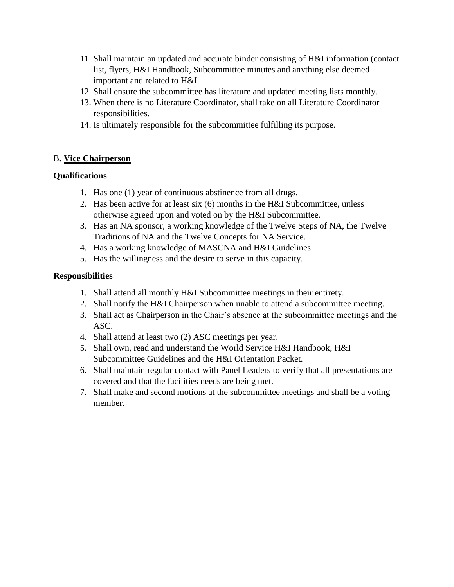- 11. Shall maintain an updated and accurate binder consisting of H&I information (contact list, flyers, H&I Handbook, Subcommittee minutes and anything else deemed important and related to H&I.
- 12. Shall ensure the subcommittee has literature and updated meeting lists monthly.
- 13. When there is no Literature Coordinator, shall take on all Literature Coordinator responsibilities.
- 14. Is ultimately responsible for the subcommittee fulfilling its purpose.

# B. **Vice Chairperson**

# **Qualifications**

- 1. Has one (1) year of continuous abstinence from all drugs.
- 2. Has been active for at least six (6) months in the H&I Subcommittee, unless otherwise agreed upon and voted on by the H&I Subcommittee.
- 3. Has an NA sponsor, a working knowledge of the Twelve Steps of NA, the Twelve Traditions of NA and the Twelve Concepts for NA Service.
- 4. Has a working knowledge of MASCNA and H&I Guidelines.
- 5. Has the willingness and the desire to serve in this capacity.

# **Responsibilities**

- 1. Shall attend all monthly H&I Subcommittee meetings in their entirety.
- 2. Shall notify the H&I Chairperson when unable to attend a subcommittee meeting.
- 3. Shall act as Chairperson in the Chair's absence at the subcommittee meetings and the ASC.
- 4. Shall attend at least two (2) ASC meetings per year.
- 5. Shall own, read and understand the World Service H&I Handbook, H&I Subcommittee Guidelines and the H&I Orientation Packet.
- 6. Shall maintain regular contact with Panel Leaders to verify that all presentations are covered and that the facilities needs are being met.
- 7. Shall make and second motions at the subcommittee meetings and shall be a voting member.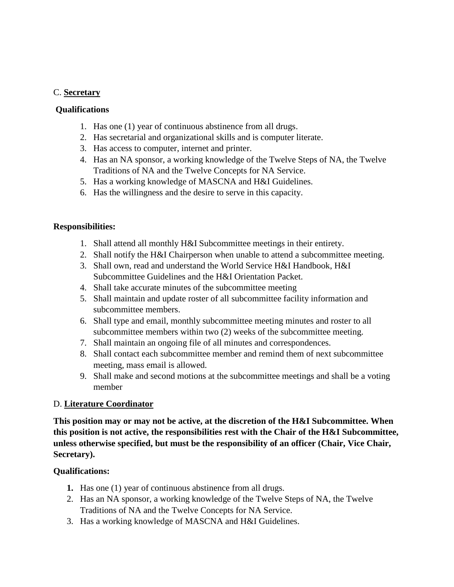#### C. **Secretary**

#### **Qualifications**

- 1. Has one (1) year of continuous abstinence from all drugs.
- 2. Has secretarial and organizational skills and is computer literate.
- 3. Has access to computer, internet and printer.
- 4. Has an NA sponsor, a working knowledge of the Twelve Steps of NA, the Twelve Traditions of NA and the Twelve Concepts for NA Service.
- 5. Has a working knowledge of MASCNA and H&I Guidelines.
- 6. Has the willingness and the desire to serve in this capacity.

#### **Responsibilities:**

- 1. Shall attend all monthly H&I Subcommittee meetings in their entirety.
- 2. Shall notify the H&I Chairperson when unable to attend a subcommittee meeting.
- 3. Shall own, read and understand the World Service H&I Handbook, H&I Subcommittee Guidelines and the H&I Orientation Packet.
- 4. Shall take accurate minutes of the subcommittee meeting
- 5. Shall maintain and update roster of all subcommittee facility information and subcommittee members.
- 6. Shall type and email, monthly subcommittee meeting minutes and roster to all subcommittee members within two (2) weeks of the subcommittee meeting.
- 7. Shall maintain an ongoing file of all minutes and correspondences.
- 8. Shall contact each subcommittee member and remind them of next subcommittee meeting, mass email is allowed.
- 9. Shall make and second motions at the subcommittee meetings and shall be a voting member

#### D. **Literature Coordinator**

**This position may or may not be active, at the discretion of the H&I Subcommittee. When this position is not active, the responsibilities rest with the Chair of the H&I Subcommittee, unless otherwise specified, but must be the responsibility of an officer (Chair, Vice Chair, Secretary).**

#### **Qualifications:**

- **1.** Has one (1) year of continuous abstinence from all drugs.
- 2. Has an NA sponsor, a working knowledge of the Twelve Steps of NA, the Twelve Traditions of NA and the Twelve Concepts for NA Service.
- 3. Has a working knowledge of MASCNA and H&I Guidelines.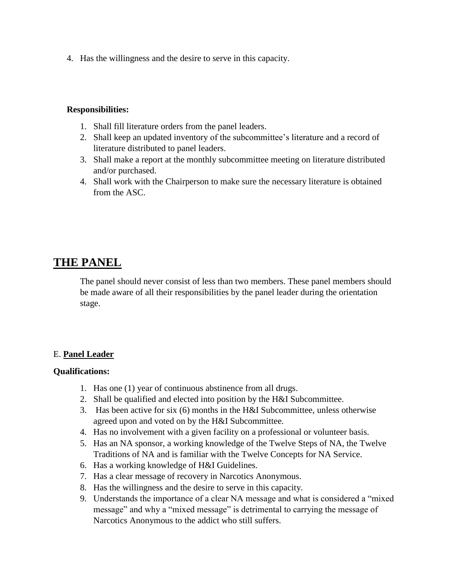4. Has the willingness and the desire to serve in this capacity.

#### **Responsibilities:**

- 1. Shall fill literature orders from the panel leaders.
- 2. Shall keep an updated inventory of the subcommittee's literature and a record of literature distributed to panel leaders.
- 3. Shall make a report at the monthly subcommittee meeting on literature distributed and/or purchased.
- 4. Shall work with the Chairperson to make sure the necessary literature is obtained from the ASC.

# **THE PANEL**

The panel should never consist of less than two members. These panel members should be made aware of all their responsibilities by the panel leader during the orientation stage.

#### E. **Panel Leader**

#### **Qualifications:**

- 1. Has one (1) year of continuous abstinence from all drugs.
- 2. Shall be qualified and elected into position by the H&I Subcommittee.
- 3. Has been active for six (6) months in the H&I Subcommittee, unless otherwise agreed upon and voted on by the H&I Subcommittee.
- 4. Has no involvement with a given facility on a professional or volunteer basis.
- 5. Has an NA sponsor, a working knowledge of the Twelve Steps of NA, the Twelve Traditions of NA and is familiar with the Twelve Concepts for NA Service.
- 6. Has a working knowledge of H&I Guidelines.
- 7. Has a clear message of recovery in Narcotics Anonymous.
- 8. Has the willingness and the desire to serve in this capacity.
- 9. Understands the importance of a clear NA message and what is considered a "mixed message" and why a "mixed message" is detrimental to carrying the message of Narcotics Anonymous to the addict who still suffers.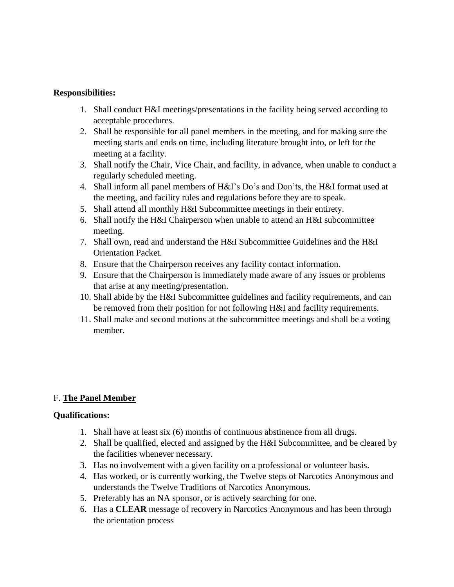#### **Responsibilities:**

- 1. Shall conduct H&I meetings/presentations in the facility being served according to acceptable procedures.
- 2. Shall be responsible for all panel members in the meeting, and for making sure the meeting starts and ends on time, including literature brought into, or left for the meeting at a facility.
- 3. Shall notify the Chair, Vice Chair, and facility, in advance, when unable to conduct a regularly scheduled meeting.
- 4. Shall inform all panel members of H&I's Do's and Don'ts, the H&I format used at the meeting, and facility rules and regulations before they are to speak.
- 5. Shall attend all monthly H&I Subcommittee meetings in their entirety.
- 6. Shall notify the H&I Chairperson when unable to attend an H&I subcommittee meeting.
- 7. Shall own, read and understand the H&I Subcommittee Guidelines and the H&I Orientation Packet.
- 8. Ensure that the Chairperson receives any facility contact information.
- 9. Ensure that the Chairperson is immediately made aware of any issues or problems that arise at any meeting/presentation.
- 10. Shall abide by the H&I Subcommittee guidelines and facility requirements, and can be removed from their position for not following H&I and facility requirements.
- 11. Shall make and second motions at the subcommittee meetings and shall be a voting member.

# F. **The Panel Member**

#### **Qualifications:**

- 1. Shall have at least six (6) months of continuous abstinence from all drugs.
- 2. Shall be qualified, elected and assigned by the H&I Subcommittee, and be cleared by the facilities whenever necessary.
- 3. Has no involvement with a given facility on a professional or volunteer basis.
- 4. Has worked, or is currently working, the Twelve steps of Narcotics Anonymous and understands the Twelve Traditions of Narcotics Anonymous.
- 5. Preferably has an NA sponsor, or is actively searching for one.
- 6. Has a **CLEAR** message of recovery in Narcotics Anonymous and has been through the orientation process